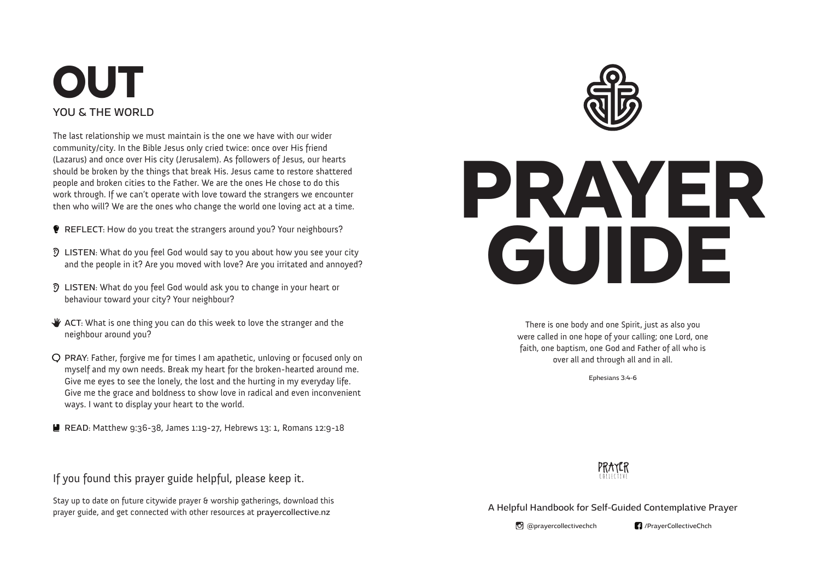## **OUT** YOU & THE WORLD

The last relationship we must maintain is the one we have with our wider community/city. In the Bible Jesus only cried twice: once over His friend (Lazarus) and once over His city (Jerusalem). As followers of Jesus, our hearts should be broken by the things that break His. Jesus came to restore shattered people and broken cities to the Father. We are the ones He chose to do this work through. If we can't operate with love toward the strangers we encounter then who will? We are the ones who change the world one loving act at a time.

REFLECT: How do you treat the strangers around you? Your neighbours?

- LISTEN: What do you feel God would say to you about how you see your city and the people in it? Are you moved with love? Are you irritated and annoyed?
- LISTEN: What do you feel God would ask you to change in your heart or behaviour toward your city? Your neighbour?
- $\mathcal W$  ACT: What is one thing you can do this week to love the stranger and the neighbour around you?
- PRAY: Father, forgive me for times I am apathetic, unloving or focused only on myself and my own needs. Break my heart for the broken-hearted around me. Give me eyes to see the lonely, the lost and the hurting in my everyday life. Give me the grace and boldness to show love in radical and even inconvenient ways. I want to display your heart to the world.

■ READ: Matthew 9:36-38, James 1:19-27, Hebrews 13: 1, Romans 12:9-18

If you found this prayer guide helpful, please keep it.

Stay up to date on future citywide prayer & worship gatherings, download this prayer guide, and get connected with other resources at prayercollective.nz



# PRAYER GUIDE

There is one body and one Spirit, just as also you were called in one hope of your calling; one Lord, one faith, one baptism, one God and Father of all who is over all and through all and in all.

Ephesians 3:4-6



A Helpful Handbook for Self-Guided Contemplative Prayer

O @prayercollectivechch **1** /PrayerCollectiveChch